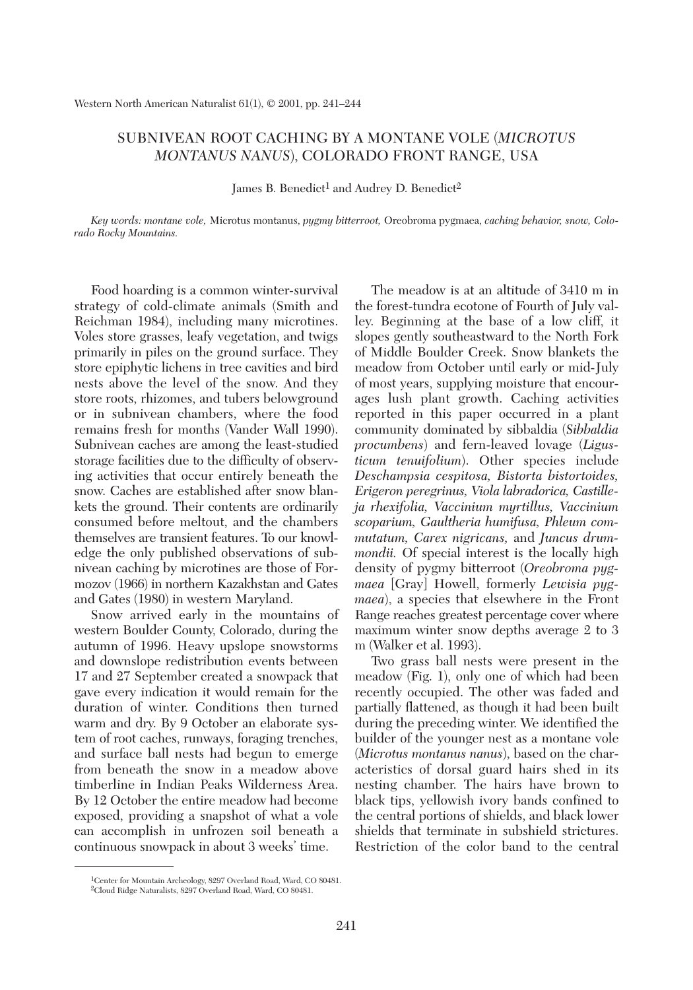## SUBNIVEAN ROOT CACHING BY A MONTANE VOLE (*MICROTUS MONTANUS NANUS*), COLORADO FRONT RANGE, USA

James B. Benedict<sup>1</sup> and Audrey D. Benedict<sup>2</sup>

*Key words: montane vole,* Microtus montanus, *pygmy bitterroot,* Oreobroma pygmaea, *caching behavior, snow, Colorado Rocky Mountains.*

Food hoarding is a common winter-survival strategy of cold-climate animals (Smith and Reichman 1984), including many microtines. Voles store grasses, leafy vegetation, and twigs primarily in piles on the ground surface. They store epiphytic lichens in tree cavities and bird nests above the level of the snow. And they store roots, rhizomes, and tubers belowground or in subnivean chambers, where the food remains fresh for months (Vander Wall 1990). Subnivean caches are among the least-studied storage facilities due to the difficulty of observing activities that occur entirely beneath the snow. Caches are established after snow blankets the ground. Their contents are ordinarily consumed before meltout, and the chambers themselves are transient features. To our knowledge the only published observations of subnivean caching by microtines are those of Formozov (1966) in northern Kazakhstan and Gates and Gates (1980) in western Maryland.

Snow arrived early in the mountains of western Boulder County, Colorado, during the autumn of 1996. Heavy upslope snowstorms and downslope redistribution events between 17 and 27 September created a snowpack that gave every indication it would remain for the duration of winter. Conditions then turned warm and dry. By 9 October an elaborate system of root caches, runways, foraging trenches, and surface ball nests had begun to emerge from beneath the snow in a meadow above timberline in Indian Peaks Wilderness Area. By 12 October the entire meadow had become exposed, providing a snapshot of what a vole can accomplish in unfrozen soil beneath a continuous snowpack in about 3 weeks' time.

The meadow is at an altitude of 3410 m in the forest-tundra ecotone of Fourth of July valley. Beginning at the base of a low cliff, it slopes gently southeastward to the North Fork of Middle Boulder Creek. Snow blankets the meadow from October until early or mid-July of most years, supplying moisture that encourages lush plant growth. Caching activities reported in this paper occurred in a plant community dominated by sibbaldia (*Sibbaldia procumbens*) and fern-leaved lovage (*Ligusticum tenuifolium*). Other species include *Deschampsia cespitosa, Bistorta bistortoides, Erigeron peregrinus, Viola labradorica, Castilleja rhexifolia, Vaccinium myrtillus, Vaccinium scoparium, Gaultheria humifusa, Phleum commutatum, Carex nigricans,* and *Juncus drummondii.* Of special interest is the locally high density of pygmy bitterroot (*Oreobroma pygmaea* [Gray] Howell, formerly *Lewisia pygmaea*), a species that elsewhere in the Front Range reaches greatest percentage cover where maximum winter snow depths average 2 to 3 m (Walker et al. 1993).

Two grass ball nests were present in the meadow (Fig. 1), only one of which had been recently occupied. The other was faded and partially flattened, as though it had been built during the preceding winter. We identified the builder of the younger nest as a montane vole (*Microtus montanus nanus*), based on the characteristics of dorsal guard hairs shed in its nesting chamber. The hairs have brown to black tips, yellowish ivory bands confined to the central portions of shields, and black lower shields that terminate in subshield strictures. Restriction of the color band to the central

<sup>1</sup>Center for Mountain Archeology, 8297 Overland Road, Ward, CO 80481. 2Cloud Ridge Naturalists, 8297 Overland Road, Ward, CO 80481.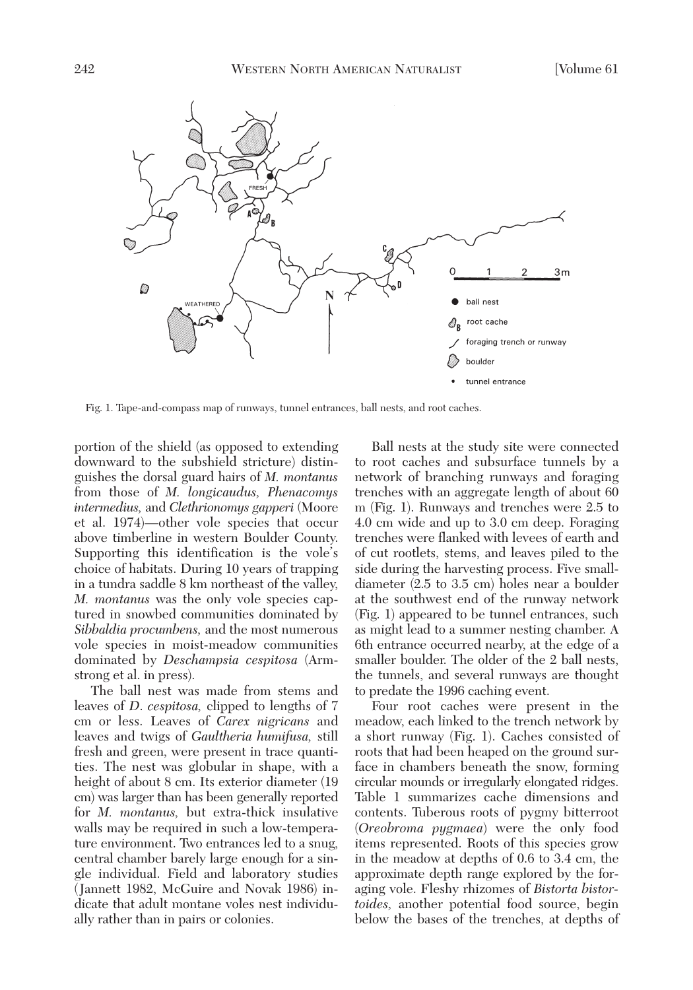

Fig. 1. Tape-and-compass map of runways, tunnel entrances, ball nests, and root caches.

portion of the shield (as opposed to extending downward to the subshield stricture) distinguishes the dorsal guard hairs of *M. montanus* from those of *M. longicaudus, Phenacomys intermedius,* and *Clethrionomys gapperi* (Moore et al. 1974)—other vole species that occur above timberline in western Boulder County. Supporting this identification is the vole's choice of habitats. During 10 years of trapping in a tundra saddle 8 km northeast of the valley, *M. montanus* was the only vole species captured in snowbed communities dominated by *Sibbaldia procumbens,* and the most numerous vole species in moist-meadow communities dominated by *Deschampsia cespitosa* (Armstrong et al. in press).

The ball nest was made from stems and leaves of *D*. *cespitosa,* clipped to lengths of 7 cm or less. Leaves of *Carex nigricans* and leaves and twigs of *Gaultheria humifusa,* still fresh and green, were present in trace quantities. The nest was globular in shape, with a height of about 8 cm. Its exterior diameter (19 cm) was larger than has been generally reported for *M. montanus,* but extra-thick insulative walls may be required in such a low-temperature environment. Two entrances led to a snug, central chamber barely large enough for a single individual. Field and laboratory studies (Jannett 1982, McGuire and Novak 1986) indicate that adult montane voles nest individually rather than in pairs or colonies.

Ball nests at the study site were connected to root caches and subsurface tunnels by a network of branching runways and foraging trenches with an aggregate length of about 60 m (Fig. 1). Runways and trenches were 2.5 to 4.0 cm wide and up to 3.0 cm deep. Foraging trenches were flanked with levees of earth and of cut rootlets, stems, and leaves piled to the side during the harvesting process. Five smalldiameter (2.5 to 3.5 cm) holes near a boulder at the southwest end of the runway network (Fig. 1) appeared to be tunnel entrances, such as might lead to a summer nesting chamber. A 6th entrance occurred nearby, at the edge of a smaller boulder. The older of the 2 ball nests, the tunnels, and several runways are thought to predate the 1996 caching event.

Four root caches were present in the meadow, each linked to the trench network by a short runway (Fig. 1). Caches consisted of roots that had been heaped on the ground surface in chambers beneath the snow, forming circular mounds or irregularly elongated ridges. Table 1 summarizes cache dimensions and contents. Tuberous roots of pygmy bitterroot (*Oreobroma pygmaea*) were the only food items represented. Roots of this species grow in the meadow at depths of 0.6 to 3.4 cm, the approximate depth range explored by the foraging vole. Fleshy rhizomes of *Bistorta bistortoides,* another potential food source, begin below the bases of the trenches, at depths of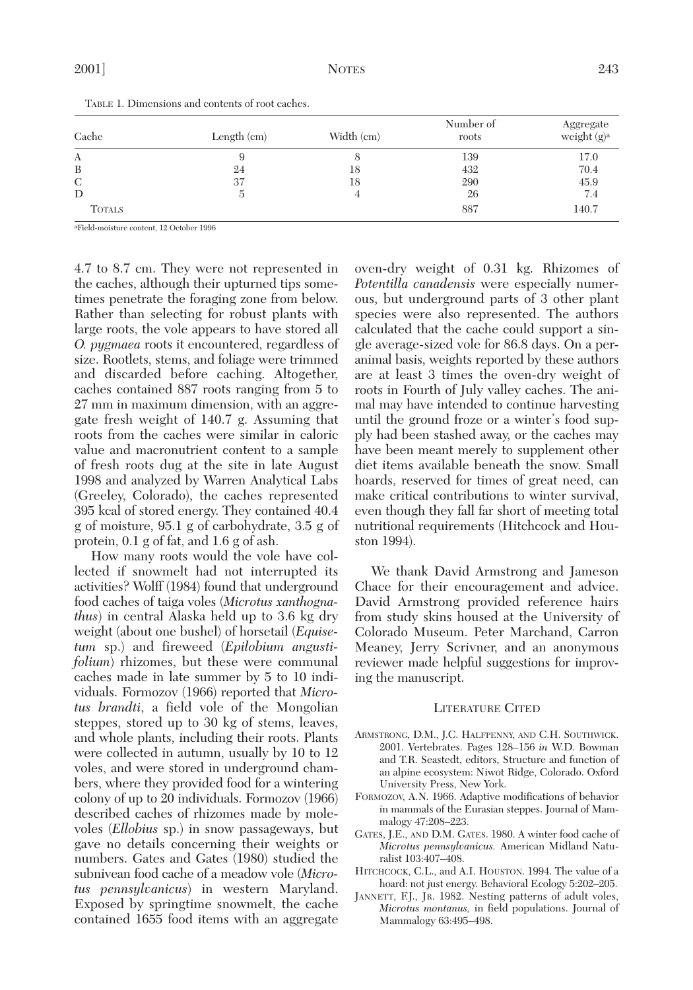| Cache         | Length $(cm)$ | Width (cm) | Number of<br>roots | Aggregate<br>weight $(g)^a$ |
|---------------|---------------|------------|--------------------|-----------------------------|
| A             |               |            | 139                | 17.0                        |
| B             | 24            | 18         | 432                | 70.4                        |
| C             | 37            | 18         | 290                | 45.9                        |
| D             |               |            | 26                 | 7.4                         |
| <b>TOTALS</b> |               |            | 887                | 140.7                       |

TABLE 1. Dimensions and contents of root caches.

aField-moisture content, 12 October 1996

4.7 to 8.7 cm. They were not represented in the caches, although their upturned tips sometimes penetrate the foraging zone from below. Rather than selecting for robust plants with large roots, the vole appears to have stored all *O. pygmaea* roots it encountered, regardless of size. Rootlets, stems, and foliage were trimmed and discarded before caching. Altogether, caches contained 887 roots ranging from 5 to 27 mm in maximum dimension, with an aggregate fresh weight of 140.7 g. Assuming that roots from the caches were similar in caloric value and macronutrient content to a sample of fresh roots dug at the site in late August 1998 and analyzed by Warren Analytical Labs (Greeley, Colorado), the caches represented 395 kcal of stored energy. They contained 40.4 g of moisture, 95.1 g of carbohydrate, 3.5 g of protein, 0.1 g of fat, and 1.6 g of ash.

How many roots would the vole have collected if snowmelt had not interrupted its activities? Wolff (1984) found that underground food caches of taiga voles (*Microtus xanthognathus*) in central Alaska held up to 3.6 kg dry weight (about one bushel) of horsetail (*Equisetum* sp.) and fireweed (*Epilobium angustifolium*) rhizomes, but these were communal caches made in late summer by 5 to 10 individuals. Formozov (1966) reported that *Microtus brandti*, a field vole of the Mongolian steppes, stored up to 30 kg of stems, leaves, and whole plants, including their roots. Plants were collected in autumn, usually by 10 to 12 voles, and were stored in underground chambers, where they provided food for a wintering colony of up to 20 individuals. Formozov (1966) described caches of rhizomes made by molevoles (*Ellobius* sp.) in snow passageways, but gave no details concerning their weights or numbers. Gates and Gates (1980) studied the subnivean food cache of a meadow vole (*Microtus pennsylvanicus*) in western Maryland. Exposed by springtime snowmelt, the cache contained 1655 food items with an aggregate

oven-dry weight of 0.31 kg. Rhizomes of *Potentilla canadensis* were especially numerous, but underground parts of 3 other plant species were also represented. The authors calculated that the cache could support a single average-sized vole for 86.8 days. On a peranimal basis, weights reported by these authors are at least 3 times the oven-dry weight of roots in Fourth of July valley caches. The animal may have intended to continue harvesting until the ground froze or a winter's food supply had been stashed away, or the caches may have been meant merely to supplement other diet items available beneath the snow. Small hoards, reserved for times of great need, can make critical contributions to winter survival, even though they fall far short of meeting total nutritional requirements (Hitchcock and Houston 1994).

We thank David Armstrong and Jameson Chace for their encouragement and advice. David Armstrong provided reference hairs from study skins housed at the University of Colorado Museum. Peter Marchand, Carron Meaney, Jerry Scrivner, and an anonymous reviewer made helpful suggestions for improving the manuscript.

## LITERATURE CITED

- ARMSTRONG, D.M., J.C. HALFPENNY, AND C.H. SOUTHWICK. 2001. Vertebrates. Pages 128–156 *in* W.D. Bowman and T.R. Seastedt, editors, Structure and function of an alpine ecosystem: Niwot Ridge, Colorado. Oxford University Press, New York.
- FORMOZOV, A.N. 1966. Adaptive modifications of behavior in mammals of the Eurasian steppes. Journal of Mammalogy 47:208–223.
- GATES, J.E., AND D.M. GATES. 1980. A winter food cache of *Microtus pennsylvanicus.* American Midland Naturalist 103:407–408.
- HITCHCOCK, C.L., and A.I. HOUSTON. 1994. The value of a hoard: not just energy. Behavioral Ecology 5:202–205.
- JANNETT, F.J., JR. 1982. Nesting patterns of adult voles, *Microtus montanus,* in field populations. Journal of Mammalogy 63:495–498.